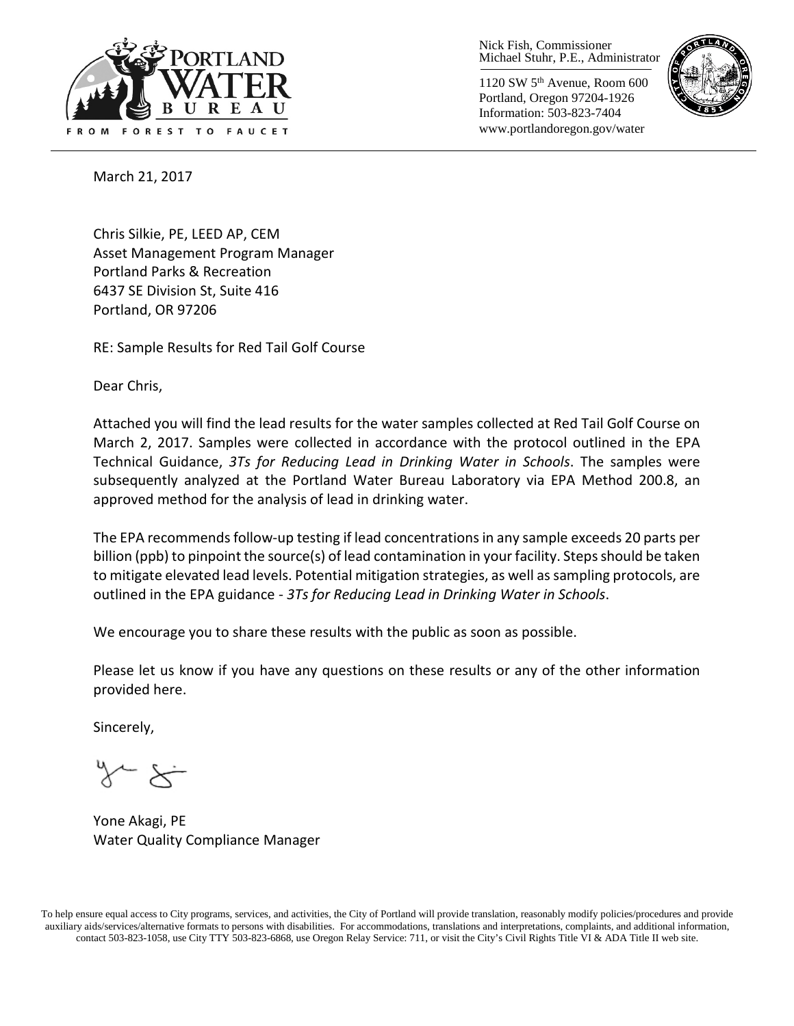

Nick Fish, Commissioner Michael Stuhr, P.E., Administrator

1120 SW 5th Avenue, Room 600 Portland, Oregon 97204-1926 Information: 503-823-7404 www.portlandoregon.gov/water



March 21, 2017

Chris Silkie, PE, LEED AP, CEM Asset Management Program Manager Portland Parks & Recreation 6437 SE Division St, Suite 416 Portland, OR 97206

RE: Sample Results for Red Tail Golf Course

Dear Chris,

Attached you will find the lead results for the water samples collected at Red Tail Golf Course on March 2, 2017. Samples were collected in accordance with the protocol outlined in the EPA Technical Guidance, *3Ts for Reducing Lead in Drinking Water in Schools*. The samples were subsequently analyzed at the Portland Water Bureau Laboratory via EPA Method 200.8, an approved method for the analysis of lead in drinking water.

The EPA recommends follow-up testing if lead concentrations in any sample exceeds 20 parts per billion (ppb) to pinpoint the source(s) of lead contamination in your facility. Steps should be taken to mitigate elevated lead levels. Potential mitigation strategies, as well as sampling protocols, are outlined in the EPA guidance - *3Ts for Reducing Lead in Drinking Water in Schools*.

We encourage you to share these results with the public as soon as possible.

Please let us know if you have any questions on these results or any of the other information provided here.

Sincerely,

Yone Akagi, PE Water Quality Compliance Manager

To help ensure equal access to City programs, services, and activities, the City of Portland will provide translation, reasonably modify policies/procedures and provide auxiliary aids/services/alternative formats to persons with disabilities. For accommodations, translations and interpretations, complaints, and additional information, contact 503-823-1058, use City TTY 503-823-6868, use Oregon Relay Service: 711, or visi[t the City's Civil Rights Title VI & ADA Title II web site.](http://www.portlandoregon.gov/oehr/66458)